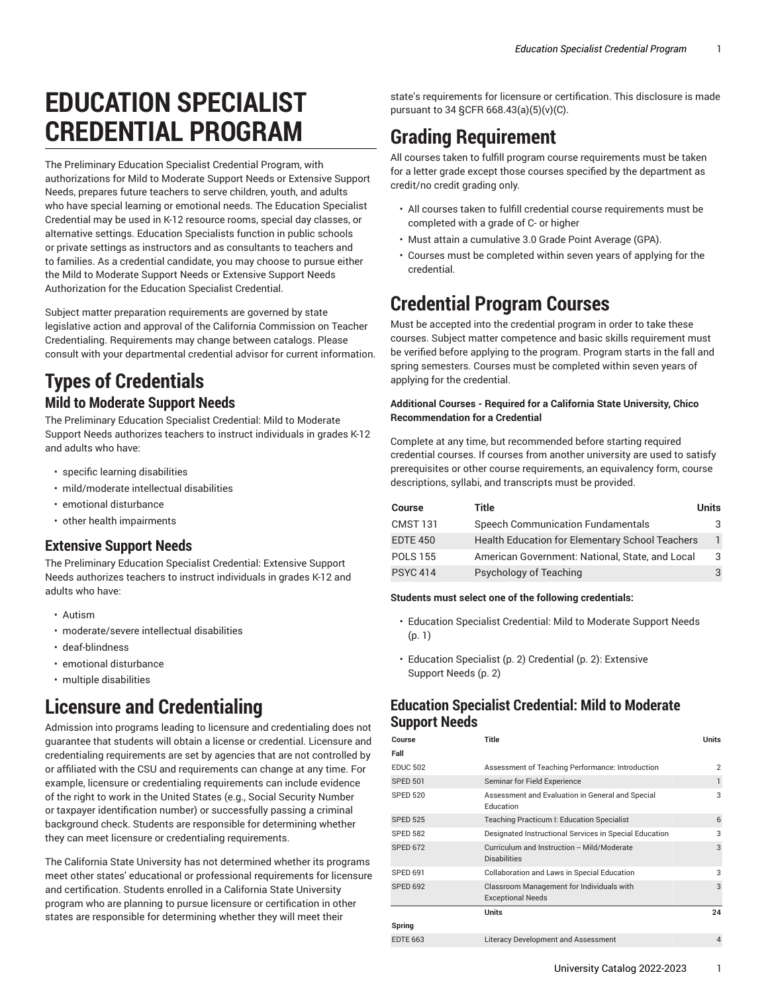# **EDUCATION SPECIALIST CREDENTIAL PROGRAM**

The Preliminary Education Specialist Credential Program, with authorizations for Mild to Moderate Support Needs or Extensive Support Needs, prepares future teachers to serve children, youth, and adults who have special learning or emotional needs. The Education Specialist Credential may be used in K-12 resource rooms, special day classes, or alternative settings. Education Specialists function in public schools or private settings as instructors and as consultants to teachers and to families. As a credential candidate, you may choose to pursue either the Mild to Moderate Support Needs or Extensive Support Needs Authorization for the Education Specialist Credential.

Subject matter preparation requirements are governed by state legislative action and approval of the California Commission on Teacher Credentialing. Requirements may change between catalogs. Please consult with your departmental credential advisor for current information.

### **Types of Credentials Mild to Moderate Support Needs**

The Preliminary Education Specialist Credential: Mild to Moderate Support Needs authorizes teachers to instruct individuals in grades K-12 and adults who have:

- specific learning disabilities
- mild/moderate intellectual disabilities
- emotional disturbance
- other health impairments

#### **Extensive Support Needs**

The Preliminary Education Specialist Credential: Extensive Support Needs authorizes teachers to instruct individuals in grades K-12 and adults who have:

- Autism
- moderate/severe intellectual disabilities
- deaf-blindness
- emotional disturbance
- multiple disabilities

# **Licensure and Credentialing**

Admission into programs leading to licensure and credentialing does not guarantee that students will obtain a license or credential. Licensure and credentialing requirements are set by agencies that are not controlled by or affiliated with the CSU and requirements can change at any time. For example, licensure or credentialing requirements can include evidence of the right to work in the United States (e.g., Social Security Number or taxpayer identification number) or successfully passing a criminal background check. Students are responsible for determining whether they can meet licensure or credentialing requirements.

The California State University has not determined whether its programs meet other states' educational or professional requirements for licensure and certification. Students enrolled in a California State University program who are planning to pursue licensure or certification in other states are responsible for determining whether they will meet their

state's requirements for licensure or certification. This disclosure is made pursuant to 34 §CFR 668.43(a)(5)(v)(C).

# **Grading Requirement**

All courses taken to fulfill program course requirements must be taken for a letter grade except those courses specified by the department as credit/no credit grading only.

- All courses taken to fulfill credential course requirements must be completed with a grade of C- or higher
- Must attain a cumulative 3.0 Grade Point Average (GPA).
- Courses must be completed within seven years of applying for the credential.

## **Credential Program Courses**

Must be accepted into the credential program in order to take these courses. Subject matter competence and basic skills requirement must be verified before applying to the program. Program starts in the fall and spring semesters. Courses must be completed within seven years of applying for the credential.

#### **Additional Courses - Required for a California State University, Chico Recommendation for a Credential**

Complete at any time, but recommended before starting required credential courses. If courses from another university are used to satisfy prerequisites or other course requirements, an equivalency form, course descriptions, syllabi, and transcripts must be provided.

| <b>Course</b>   | Title                                                  | <b>Units</b> |
|-----------------|--------------------------------------------------------|--------------|
| <b>CMST 131</b> | <b>Speech Communication Fundamentals</b>               | 3.           |
| <b>EDTE 450</b> | <b>Health Education for Elementary School Teachers</b> |              |
| <b>POLS 155</b> | American Government: National, State, and Local        | 3            |
| <b>PSYC 414</b> | Psychology of Teaching                                 | 3            |

#### **Students must select one of the following credentials:**

- Education Specialist [Credential:](#page-0-0) Mild to Moderate Support Needs [\(p. 1](#page-0-0))
- [Education](#page-1-0) Specialist ([p. 2\) Credential \(p. 2\)](#page-1-0): [Extensive](#page-1-0) [Support](#page-1-0) Needs ([p. 2\)](#page-1-0)

#### <span id="page-0-0"></span>**Education Specialist Credential: Mild to Moderate Support Needs**

| Course          | <b>Title</b>                                                          | <b>Units</b>   |
|-----------------|-----------------------------------------------------------------------|----------------|
| Fall            |                                                                       |                |
| <b>EDUC 502</b> | Assessment of Teaching Performance: Introduction                      | $\overline{2}$ |
| <b>SPED 501</b> | Seminar for Field Experience                                          | 1              |
| <b>SPED 520</b> | Assessment and Evaluation in General and Special<br>Education         | 3              |
| <b>SPED 525</b> | Teaching Practicum I: Education Specialist                            | 6              |
| <b>SPED 582</b> | Designated Instructional Services in Special Education                | 3              |
| <b>SPED 672</b> | Curriculum and Instruction -- Mild/Moderate<br><b>Disabilities</b>    | 3              |
| <b>SPED 691</b> | Collaboration and Laws in Special Education                           | 3              |
| <b>SPED 692</b> | Classroom Management for Individuals with<br><b>Exceptional Needs</b> | 3              |
|                 | <b>Units</b>                                                          | 24             |
| Spring          |                                                                       |                |
| <b>EDTE 663</b> | Literacy Development and Assessment                                   | $\overline{4}$ |